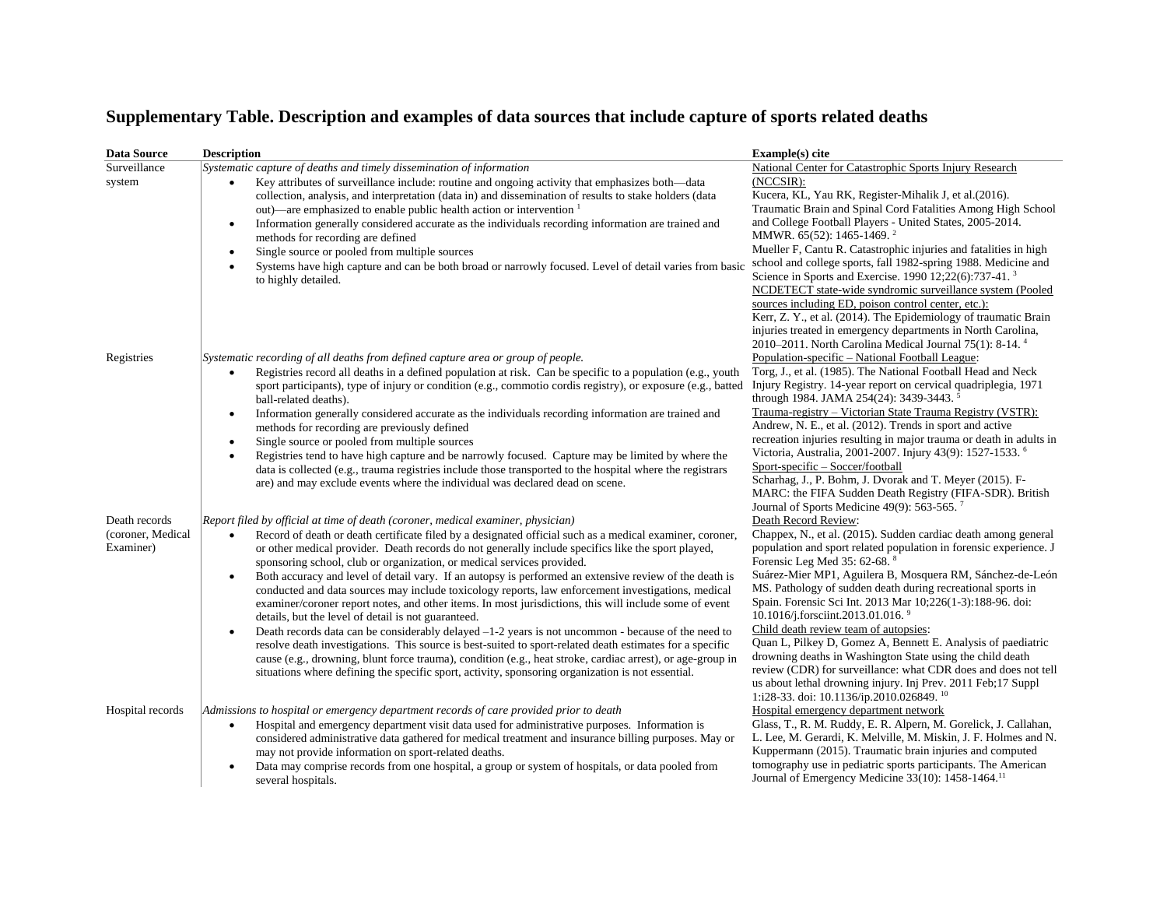## **Supplementary Table. Description and examples of data sources that include capture of sports related deaths**

| <b>Data Source</b>                              | <b>Description</b>                                                                                                                                                                                                                                                                                                                                                                                                                                                                                                                                                                                                                                                                                                                                                                                                                                                                                                                                                                                                                                                                                                                                                                                                                          | Example(s) cite                                                                                                                                                                                                                                                                                                                                                                                                                                                                                                                                                                                                                                                                                                                                                                                                                              |
|-------------------------------------------------|---------------------------------------------------------------------------------------------------------------------------------------------------------------------------------------------------------------------------------------------------------------------------------------------------------------------------------------------------------------------------------------------------------------------------------------------------------------------------------------------------------------------------------------------------------------------------------------------------------------------------------------------------------------------------------------------------------------------------------------------------------------------------------------------------------------------------------------------------------------------------------------------------------------------------------------------------------------------------------------------------------------------------------------------------------------------------------------------------------------------------------------------------------------------------------------------------------------------------------------------|----------------------------------------------------------------------------------------------------------------------------------------------------------------------------------------------------------------------------------------------------------------------------------------------------------------------------------------------------------------------------------------------------------------------------------------------------------------------------------------------------------------------------------------------------------------------------------------------------------------------------------------------------------------------------------------------------------------------------------------------------------------------------------------------------------------------------------------------|
| Surveillance<br>system                          | Systematic capture of deaths and timely dissemination of information<br>Key attributes of surveillance include: routine and ongoing activity that emphasizes both—data<br>$\bullet$<br>collection, analysis, and interpretation (data in) and dissemination of results to stake holders (data<br>out)—are emphasized to enable public health action or intervention 1<br>Information generally considered accurate as the individuals recording information are trained and<br>$\bullet$<br>methods for recording are defined<br>Single source or pooled from multiple sources<br>$\bullet$<br>Systems have high capture and can be both broad or narrowly focused. Level of detail varies from basic<br>to highly detailed.                                                                                                                                                                                                                                                                                                                                                                                                                                                                                                                | National Center for Catastrophic Sports Injury Research<br>(NCCSIR):<br>Kucera, KL, Yau RK, Register-Mihalik J, et al.(2016).<br>Traumatic Brain and Spinal Cord Fatalities Among High School<br>and College Football Players - United States, 2005-2014.<br>MMWR. 65(52): 1465-1469. <sup>2</sup><br>Mueller F, Cantu R. Catastrophic injuries and fatalities in high<br>school and college sports, fall 1982-spring 1988. Medicine and<br>Science in Sports and Exercise. 1990 12;22(6):737-41. <sup>3</sup><br>NCDETECT state-wide syndromic surveillance system (Pooled<br>sources including ED, poison control center, etc.):<br>Kerr, Z. Y., et al. (2014). The Epidemiology of traumatic Brain<br>injuries treated in emergency departments in North Carolina,<br>2010-2011. North Carolina Medical Journal 75(1): 8-14. <sup>4</sup> |
| Registries                                      | Systematic recording of all deaths from defined capture area or group of people.<br>Registries record all deaths in a defined population at risk. Can be specific to a population (e.g., youth<br>$\bullet$<br>sport participants), type of injury or condition (e.g., commotio cordis registry), or exposure (e.g., batted<br>ball-related deaths).<br>Information generally considered accurate as the individuals recording information are trained and<br>$\bullet$<br>methods for recording are previously defined<br>Single source or pooled from multiple sources<br>$\bullet$<br>Registries tend to have high capture and be narrowly focused. Capture may be limited by where the<br>$\bullet$<br>data is collected (e.g., trauma registries include those transported to the hospital where the registrars<br>are) and may exclude events where the individual was declared dead on scene.                                                                                                                                                                                                                                                                                                                                        | Population-specific - National Football League:<br>Torg, J., et al. (1985). The National Football Head and Neck<br>Injury Registry. 14-year report on cervical quadriplegia, 1971<br>through 1984. JAMA 254(24): 3439-3443. <sup>5</sup><br>Trauma-registry - Victorian State Trauma Registry (VSTR):<br>Andrew, N. E., et al. (2012). Trends in sport and active<br>recreation injuries resulting in major trauma or death in adults in<br>Victoria, Australia, 2001-2007. Injury 43(9): 1527-1533. <sup>6</sup><br>Sport-specific - Soccer/football<br>Scharhag, J., P. Bohm, J. Dvorak and T. Meyer (2015). F-<br>MARC: the FIFA Sudden Death Registry (FIFA-SDR). British<br>Journal of Sports Medicine 49(9): 563-565. <sup>7</sup>                                                                                                     |
| Death records<br>(coroner, Medical<br>Examiner) | Report filed by official at time of death (coroner, medical examiner, physician)<br>Record of death or death certificate filed by a designated official such as a medical examiner, coroner,<br>$\bullet$<br>or other medical provider. Death records do not generally include specifics like the sport played,<br>sponsoring school, club or organization, or medical services provided.<br>Both accuracy and level of detail vary. If an autopsy is performed an extensive review of the death is<br>$\bullet$<br>conducted and data sources may include toxicology reports, law enforcement investigations, medical<br>examiner/coroner report notes, and other items. In most jurisdictions, this will include some of event<br>details, but the level of detail is not guaranteed.<br>Death records data can be considerably delayed $-1-2$ years is not uncommon - because of the need to<br>$\bullet$<br>resolve death investigations. This source is best-suited to sport-related death estimates for a specific<br>cause (e.g., drowning, blunt force trauma), condition (e.g., heat stroke, cardiac arrest), or age-group in<br>situations where defining the specific sport, activity, sponsoring organization is not essential. | Death Record Review:<br>Chappex, N., et al. (2015). Sudden cardiac death among general<br>population and sport related population in forensic experience. J<br>Forensic Leg Med 35: 62-68. <sup>8</sup><br>Suárez-Mier MP1, Aguilera B, Mosquera RM, Sánchez-de-León<br>MS. Pathology of sudden death during recreational sports in<br>Spain. Forensic Sci Int. 2013 Mar 10;226(1-3):188-96. doi:<br>10.1016/j.forsciint.2013.01.016. <sup>9</sup><br>Child death review team of autopsies:<br>Quan L, Pilkey D, Gomez A, Bennett E. Analysis of paediatric<br>drowning deaths in Washington State using the child death<br>review (CDR) for surveillance: what CDR does and does not tell<br>us about lethal drowning injury. Inj Prev. 2011 Feb;17 Suppl<br>1:i28-33. doi: 10.1136/ip.2010.026849. <sup>10</sup>                           |
| Hospital records                                | Admissions to hospital or emergency department records of care provided prior to death<br>Hospital and emergency department visit data used for administrative purposes. Information is<br>$\bullet$<br>considered administrative data gathered for medical treatment and insurance billing purposes. May or<br>may not provide information on sport-related deaths.<br>Data may comprise records from one hospital, a group or system of hospitals, or data pooled from<br>$\bullet$<br>several hospitals.                                                                                                                                                                                                                                                                                                                                                                                                                                                                                                                                                                                                                                                                                                                                 | Hospital emergency department network<br>Glass, T., R. M. Ruddy, E. R. Alpern, M. Gorelick, J. Callahan,<br>L. Lee, M. Gerardi, K. Melville, M. Miskin, J. F. Holmes and N.<br>Kuppermann (2015). Traumatic brain injuries and computed<br>tomography use in pediatric sports participants. The American<br>Journal of Emergency Medicine 33(10): 1458-1464. <sup>11</sup>                                                                                                                                                                                                                                                                                                                                                                                                                                                                   |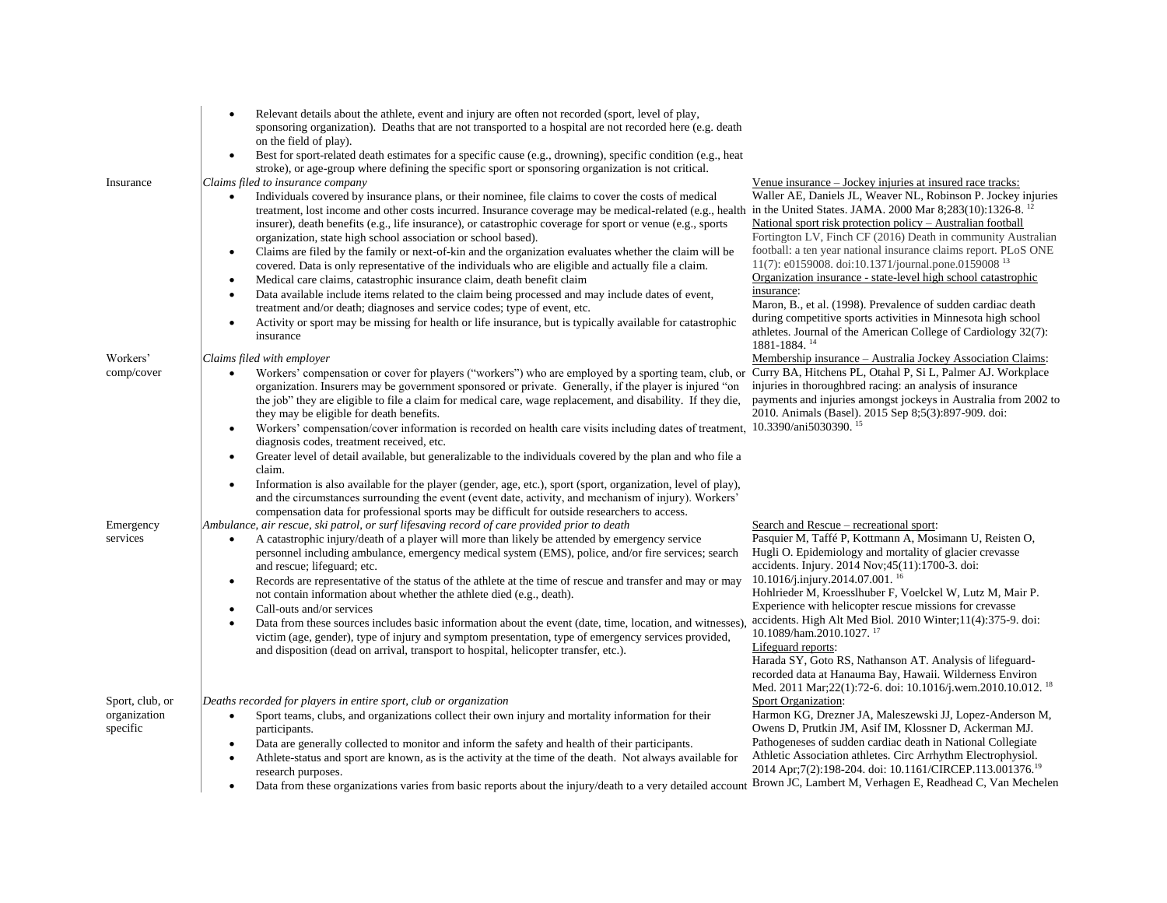| Insurance                       | Relevant details about the athlete, event and injury are often not recorded (sport, level of play,<br>sponsoring organization). Deaths that are not transported to a hospital are not recorded here (e.g. death<br>on the field of play).<br>Best for sport-related death estimates for a specific cause (e.g., drowning), specific condition (e.g., heat<br>stroke), or age-group where defining the specific sport or sponsoring organization is not critical.<br>Claims filed to insurance company<br>Individuals covered by insurance plans, or their nominee, file claims to cover the costs of medical<br>treatment, lost income and other costs incurred. Insurance coverage may be medical-related (e.g., health<br>insurer), death benefits (e.g., life insurance), or catastrophic coverage for sport or venue (e.g., sports<br>organization, state high school association or school based).<br>Claims are filed by the family or next-of-kin and the organization evaluates whether the claim will be<br>covered. Data is only representative of the individuals who are eligible and actually file a claim.<br>Medical care claims, catastrophic insurance claim, death benefit claim<br>$\bullet$<br>Data available include items related to the claim being processed and may include dates of event,<br>$\bullet$<br>treatment and/or death; diagnoses and service codes; type of event, etc.<br>Activity or sport may be missing for health or life insurance, but is typically available for catastrophic<br>$\bullet$<br>insurance | Venue insurance – Jockey injuries at insured race tracks:<br>Waller AE, Daniels JL, Weaver NL, Robinson P. Jockey injuries<br>in the United States. JAMA. 2000 Mar 8;283(10):1326-8. <sup>12</sup><br>National sport risk protection policy – Australian football<br>Fortington LV, Finch CF (2016) Death in community Australian<br>football: a ten year national insurance claims report. PLoS ONE<br>11(7): e0159008. doi:10.1371/journal.pone.0159008 <sup>13</sup><br>Organization insurance - state-level high school catastrophic<br>insurance:<br>Maron, B., et al. (1998). Prevalence of sudden cardiac death<br>during competitive sports activities in Minnesota high school<br>athletes. Journal of the American College of Cardiology 32(7):<br>1881-1884. 14 |
|---------------------------------|-------------------------------------------------------------------------------------------------------------------------------------------------------------------------------------------------------------------------------------------------------------------------------------------------------------------------------------------------------------------------------------------------------------------------------------------------------------------------------------------------------------------------------------------------------------------------------------------------------------------------------------------------------------------------------------------------------------------------------------------------------------------------------------------------------------------------------------------------------------------------------------------------------------------------------------------------------------------------------------------------------------------------------------------------------------------------------------------------------------------------------------------------------------------------------------------------------------------------------------------------------------------------------------------------------------------------------------------------------------------------------------------------------------------------------------------------------------------------------------------------------------------------------------------------------|----------------------------------------------------------------------------------------------------------------------------------------------------------------------------------------------------------------------------------------------------------------------------------------------------------------------------------------------------------------------------------------------------------------------------------------------------------------------------------------------------------------------------------------------------------------------------------------------------------------------------------------------------------------------------------------------------------------------------------------------------------------------------|
| Workers'                        | Claims filed with employer                                                                                                                                                                                                                                                                                                                                                                                                                                                                                                                                                                                                                                                                                                                                                                                                                                                                                                                                                                                                                                                                                                                                                                                                                                                                                                                                                                                                                                                                                                                            | Membership insurance – Australia Jockey Association Claims:                                                                                                                                                                                                                                                                                                                                                                                                                                                                                                                                                                                                                                                                                                                |
| comp/cover                      | Workers' compensation or cover for players ("workers") who are employed by a sporting team, club, or<br>$\bullet$<br>organization. Insurers may be government sponsored or private. Generally, if the player is injured "on<br>the job" they are eligible to file a claim for medical care, wage replacement, and disability. If they die,<br>they may be eligible for death benefits.<br>Workers' compensation/cover information is recorded on health care visits including dates of treatment,<br>$\bullet$<br>diagnosis codes, treatment received, etc.<br>Greater level of detail available, but generalizable to the individuals covered by the plan and who file a<br>claim.<br>Information is also available for the player (gender, age, etc.), sport (sport, organization, level of play),<br>$\bullet$<br>and the circumstances surrounding the event (event date, activity, and mechanism of injury). Workers'<br>compensation data for professional sports may be difficult for outside researchers to access.                                                                                                                                                                                                                                                                                                                                                                                                                                                                                                                           | Curry BA, Hitchens PL, Otahal P, Si L, Palmer AJ. Workplace<br>injuries in thoroughbred racing: an analysis of insurance<br>payments and injuries amongst jockeys in Australia from 2002 to<br>2010. Animals (Basel). 2015 Sep 8;5(3):897-909. doi:<br>10.3390/ani5030390. <sup>15</sup>                                                                                                                                                                                                                                                                                                                                                                                                                                                                                   |
| Emergency<br>services           | Ambulance, air rescue, ski patrol, or surf lifesaving record of care provided prior to death<br>A catastrophic injury/death of a player will more than likely be attended by emergency service<br>$\bullet$<br>personnel including ambulance, emergency medical system (EMS), police, and/or fire services; search<br>and rescue; lifeguard; etc.<br>Records are representative of the status of the athlete at the time of rescue and transfer and may or may<br>$\bullet$<br>not contain information about whether the athlete died (e.g., death).<br>Call-outs and/or services<br>Data from these sources includes basic information about the event (date, time, location, and witnesses)<br>victim (age, gender), type of injury and symptom presentation, type of emergency services provided,<br>and disposition (dead on arrival, transport to hospital, helicopter transfer, etc.).                                                                                                                                                                                                                                                                                                                                                                                                                                                                                                                                                                                                                                                          | Search and Rescue – recreational sport:<br>Pasquier M, Taffé P, Kottmann A, Mosimann U, Reisten O,<br>Hugli O. Epidemiology and mortality of glacier crevasse<br>accidents. Injury. 2014 Nov;45(11):1700-3. doi:<br>10.1016/j.injury.2014.07.001. <sup>16</sup><br>Hohlrieder M, Kroesslhuber F, Voelckel W, Lutz M, Mair P.<br>Experience with helicopter rescue missions for crevasse<br>accidents. High Alt Med Biol. 2010 Winter; 11(4): 375-9. doi:<br>10.1089/ham.2010.1027. <sup>17</sup><br>Lifeguard reports:<br>Harada SY, Goto RS, Nathanson AT. Analysis of lifeguard-<br>recorded data at Hanauma Bay, Hawaii. Wilderness Environ<br>Med. 2011 Mar; 22(1): 72-6. doi: 10.1016/j.wem.2010.10.012. <sup>18</sup>                                                |
| Sport, club, or<br>organization | Deaths recorded for players in entire sport, club or organization<br>Sport teams, clubs, and organizations collect their own injury and mortality information for their<br>$\bullet$                                                                                                                                                                                                                                                                                                                                                                                                                                                                                                                                                                                                                                                                                                                                                                                                                                                                                                                                                                                                                                                                                                                                                                                                                                                                                                                                                                  | Sport Organization:<br>Harmon KG, Drezner JA, Maleszewski JJ, Lopez-Anderson M,                                                                                                                                                                                                                                                                                                                                                                                                                                                                                                                                                                                                                                                                                            |
| specific                        | participants.<br>Data are generally collected to monitor and inform the safety and health of their participants.                                                                                                                                                                                                                                                                                                                                                                                                                                                                                                                                                                                                                                                                                                                                                                                                                                                                                                                                                                                                                                                                                                                                                                                                                                                                                                                                                                                                                                      | Owens D, Prutkin JM, Asif IM, Klossner D, Ackerman MJ.<br>Pathogeneses of sudden cardiac death in National Collegiate                                                                                                                                                                                                                                                                                                                                                                                                                                                                                                                                                                                                                                                      |
|                                 | Athlete-status and sport are known, as is the activity at the time of the death. Not always available for<br>research purposes.                                                                                                                                                                                                                                                                                                                                                                                                                                                                                                                                                                                                                                                                                                                                                                                                                                                                                                                                                                                                                                                                                                                                                                                                                                                                                                                                                                                                                       | Athletic Association athletes. Circ Arrhythm Electrophysiol.<br>2014 Apr;7(2):198-204. doi: 10.1161/CIRCEP.113.001376. <sup>19</sup>                                                                                                                                                                                                                                                                                                                                                                                                                                                                                                                                                                                                                                       |
|                                 | Data from these organizations varies from basic reports about the injury/death to a very detailed account                                                                                                                                                                                                                                                                                                                                                                                                                                                                                                                                                                                                                                                                                                                                                                                                                                                                                                                                                                                                                                                                                                                                                                                                                                                                                                                                                                                                                                             | Brown JC, Lambert M, Verhagen E, Readhead C, Van Mechelen                                                                                                                                                                                                                                                                                                                                                                                                                                                                                                                                                                                                                                                                                                                  |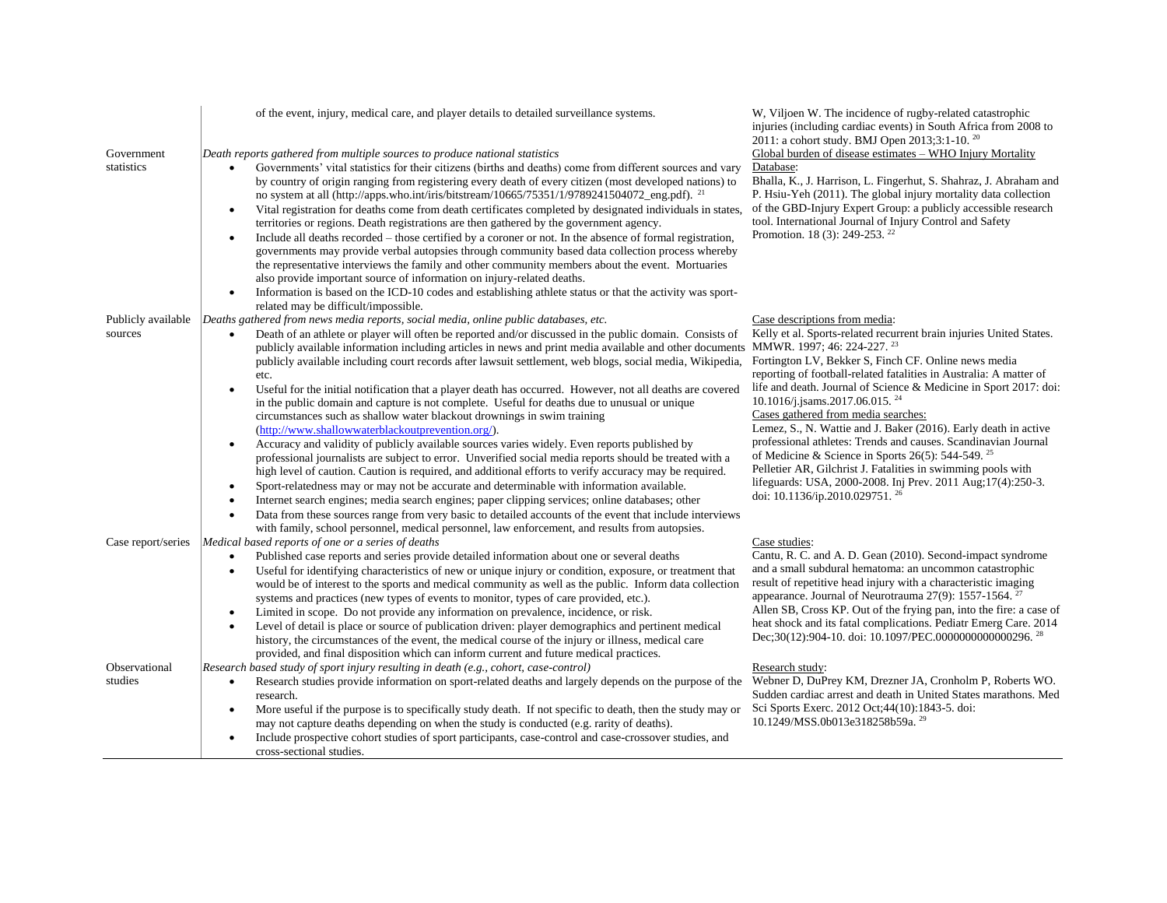|                          | of the event, injury, medical care, and player details to detailed surveillance systems.                                                                                                                                         | W, Viljoen W. The incidence of rugby-related catastrophic<br>injuries (including cardiac events) in South Africa from 2008 to<br>2011: a cohort study. BMJ Open 2013;3:1-10. <sup>20</sup>      |
|--------------------------|----------------------------------------------------------------------------------------------------------------------------------------------------------------------------------------------------------------------------------|-------------------------------------------------------------------------------------------------------------------------------------------------------------------------------------------------|
| Government<br>statistics | Death reports gathered from multiple sources to produce national statistics<br>Governments' vital statistics for their citizens (births and deaths) come from different sources and vary                                         | Global burden of disease estimates - WHO Injury Mortality<br>Database:                                                                                                                          |
|                          | by country of origin ranging from registering every death of every citizen (most developed nations) to<br>no system at all (http://apps.who.int/iris/bitstream/10665/75351/1/9789241504072_eng.pdf). <sup>21</sup>               | Bhalla, K., J. Harrison, L. Fingerhut, S. Shahraz, J. Abraham and<br>P. Hsiu-Yeh (2011). The global injury mortality data collection                                                            |
|                          | Vital registration for deaths come from death certificates completed by designated individuals in states,<br>$\bullet$<br>territories or regions. Death registrations are then gathered by the government agency.                | of the GBD-Injury Expert Group: a publicly accessible research<br>tool. International Journal of Injury Control and Safety                                                                      |
|                          | Include all deaths recorded – those certified by a coroner or not. In the absence of formal registration,<br>$\bullet$<br>governments may provide verbal autopsies through community based data collection process whereby       | Promotion. 18 (3): 249-253. <sup>22</sup>                                                                                                                                                       |
|                          | the representative interviews the family and other community members about the event. Mortuaries<br>also provide important source of information on injury-related deaths.                                                       |                                                                                                                                                                                                 |
|                          | Information is based on the ICD-10 codes and establishing athlete status or that the activity was sport-<br>$\bullet$                                                                                                            |                                                                                                                                                                                                 |
| Publicly available       | related may be difficult/impossible.<br>Deaths gathered from news media reports, social media, online public databases, etc.                                                                                                     | Case descriptions from media:                                                                                                                                                                   |
| sources                  | Death of an athlete or player will often be reported and/or discussed in the public domain. Consists of<br>publicly available information including articles in news and print media available and other documents               | Kelly et al. Sports-related recurrent brain injuries United States.<br>MMWR. 1997; 46: 224-227. <sup>23</sup>                                                                                   |
|                          | publicly available including court records after lawsuit settlement, web blogs, social media, Wikipedia,                                                                                                                         | Fortington LV, Bekker S, Finch CF. Online news media<br>reporting of football-related fatalities in Australia: A matter of                                                                      |
|                          | etc.<br>Useful for the initial notification that a player death has occurred. However, not all deaths are covered<br>$\bullet$                                                                                                   | life and death. Journal of Science & Medicine in Sport 2017: doi:                                                                                                                               |
|                          | in the public domain and capture is not complete. Useful for deaths due to unusual or unique<br>circumstances such as shallow water blackout drownings in swim training                                                          | 10.1016/j.jsams.2017.06.015. <sup>24</sup><br>Cases gathered from media searches:                                                                                                               |
|                          | (http://www.shallowwaterblackoutprevention.org/).                                                                                                                                                                                | Lemez, S., N. Wattie and J. Baker (2016). Early death in active                                                                                                                                 |
|                          | Accuracy and validity of publicly available sources varies widely. Even reports published by<br>$\bullet$<br>professional journalists are subject to error. Unverified social media reports should be treated with a             | professional athletes: Trends and causes. Scandinavian Journal<br>of Medicine & Science in Sports 26(5): 544-549. <sup>25</sup><br>Pelletier AR, Gilchrist J. Fatalities in swimming pools with |
|                          | high level of caution. Caution is required, and additional efforts to verify accuracy may be required.<br>Sport-relatedness may or may not be accurate and determinable with information available.<br>$\bullet$                 | lifeguards: USA, 2000-2008. Inj Prev. 2011 Aug;17(4):250-3.                                                                                                                                     |
|                          | Internet search engines; media search engines; paper clipping services; online databases; other<br>Data from these sources range from very basic to detailed accounts of the event that include interviews<br>$\bullet$          | doi: 10.1136/ip.2010.029751. <sup>26</sup>                                                                                                                                                      |
|                          | with family, school personnel, medical personnel, law enforcement, and results from autopsies.                                                                                                                                   |                                                                                                                                                                                                 |
| Case report/series       | Medical based reports of one or a series of deaths                                                                                                                                                                               | Case studies:                                                                                                                                                                                   |
|                          | Published case reports and series provide detailed information about one or several deaths<br>$\bullet$<br>Useful for identifying characteristics of new or unique injury or condition, exposure, or treatment that<br>$\bullet$ | Cantu, R. C. and A. D. Gean (2010). Second-impact syndrome<br>and a small subdural hematoma: an uncommon catastrophic                                                                           |
|                          | would be of interest to the sports and medical community as well as the public. Inform data collection                                                                                                                           | result of repetitive head injury with a characteristic imaging<br>appearance. Journal of Neurotrauma 27(9): 1557-1564. <sup>27</sup>                                                            |
|                          | systems and practices (new types of events to monitor, types of care provided, etc.).<br>Limited in scope. Do not provide any information on prevalence, incidence, or risk.<br>$\bullet$                                        | Allen SB, Cross KP. Out of the frying pan, into the fire: a case of                                                                                                                             |
|                          | Level of detail is place or source of publication driven: player demographics and pertinent medical<br>$\bullet$                                                                                                                 | heat shock and its fatal complications. Pediatr Emerg Care. 2014                                                                                                                                |
|                          | history, the circumstances of the event, the medical course of the injury or illness, medical care                                                                                                                               | Dec;30(12):904-10. doi: 10.1097/PEC.0000000000000296. <sup>28</sup>                                                                                                                             |
| Observational            | provided, and final disposition which can inform current and future medical practices.<br>Research based study of sport injury resulting in death (e.g., cohort, case-control)                                                   | Research study:                                                                                                                                                                                 |
| studies                  | Research studies provide information on sport-related deaths and largely depends on the purpose of the<br>$\bullet$                                                                                                              | Webner D, DuPrey KM, Drezner JA, Cronholm P, Roberts WO.                                                                                                                                        |
|                          | research.<br>More useful if the purpose is to specifically study death. If not specific to death, then the study may or                                                                                                          | Sudden cardiac arrest and death in United States marathons. Med<br>Sci Sports Exerc. 2012 Oct;44(10):1843-5. doi:                                                                               |
|                          | may not capture deaths depending on when the study is conducted (e.g. rarity of deaths).                                                                                                                                         | 10.1249/MSS.0b013e318258b59a. <sup>29</sup>                                                                                                                                                     |
|                          | Include prospective cohort studies of sport participants, case-control and case-crossover studies, and<br>cross-sectional studies.                                                                                               |                                                                                                                                                                                                 |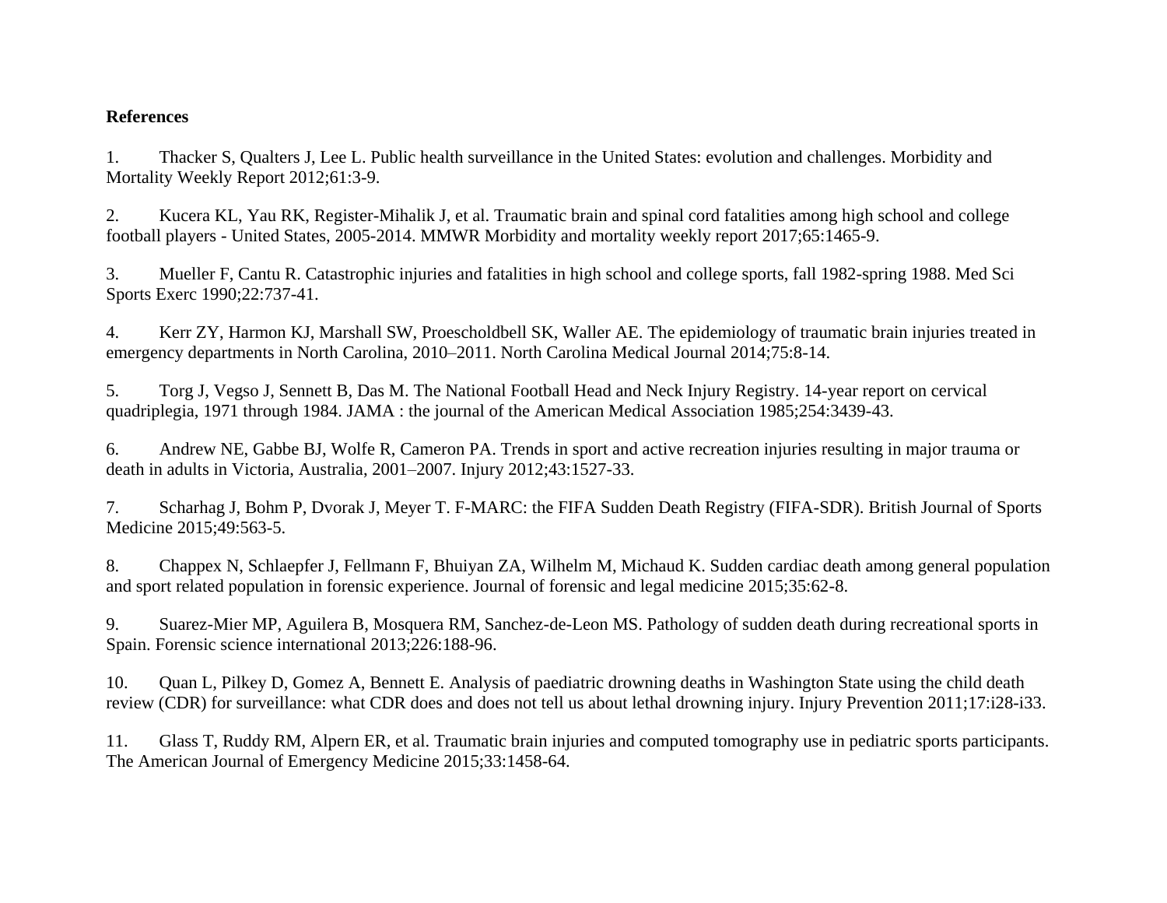## **References**

<span id="page-3-0"></span>1. Thacker S, Qualters J, Lee L. Public health surveillance in the United States: evolution and challenges. Morbidity and Mortality Weekly Report 2012;61:3-9.

<span id="page-3-1"></span>2. Kucera KL, Yau RK, Register-Mihalik J, et al. Traumatic brain and spinal cord fatalities among high school and college football players - United States, 2005-2014. MMWR Morbidity and mortality weekly report 2017;65:1465-9.

<span id="page-3-2"></span>3. Mueller F, Cantu R. Catastrophic injuries and fatalities in high school and college sports, fall 1982-spring 1988. Med Sci Sports Exerc 1990;22:737-41.

<span id="page-3-3"></span>4. Kerr ZY, Harmon KJ, Marshall SW, Proescholdbell SK, Waller AE. The epidemiology of traumatic brain injuries treated in emergency departments in North Carolina, 2010–2011. North Carolina Medical Journal 2014;75:8-14.

<span id="page-3-4"></span>5. Torg J, Vegso J, Sennett B, Das M. The National Football Head and Neck Injury Registry. 14-year report on cervical quadriplegia, 1971 through 1984. JAMA : the journal of the American Medical Association 1985;254:3439-43.

<span id="page-3-5"></span>6. Andrew NE, Gabbe BJ, Wolfe R, Cameron PA. Trends in sport and active recreation injuries resulting in major trauma or death in adults in Victoria, Australia, 2001–2007. Injury 2012;43:1527-33.

<span id="page-3-6"></span>7. Scharhag J, Bohm P, Dvorak J, Meyer T. F-MARC: the FIFA Sudden Death Registry (FIFA-SDR). British Journal of Sports Medicine 2015;49:563-5.

<span id="page-3-7"></span>8. Chappex N, Schlaepfer J, Fellmann F, Bhuiyan ZA, Wilhelm M, Michaud K. Sudden cardiac death among general population and sport related population in forensic experience. Journal of forensic and legal medicine 2015;35:62-8.

<span id="page-3-8"></span>9. Suarez-Mier MP, Aguilera B, Mosquera RM, Sanchez-de-Leon MS. Pathology of sudden death during recreational sports in Spain. Forensic science international 2013;226:188-96.

<span id="page-3-9"></span>10. Quan L, Pilkey D, Gomez A, Bennett E. Analysis of paediatric drowning deaths in Washington State using the child death review (CDR) for surveillance: what CDR does and does not tell us about lethal drowning injury. Injury Prevention 2011;17:i28-i33.

<span id="page-3-10"></span>11. Glass T, Ruddy RM, Alpern ER, et al. Traumatic brain injuries and computed tomography use in pediatric sports participants. The American Journal of Emergency Medicine 2015;33:1458-64.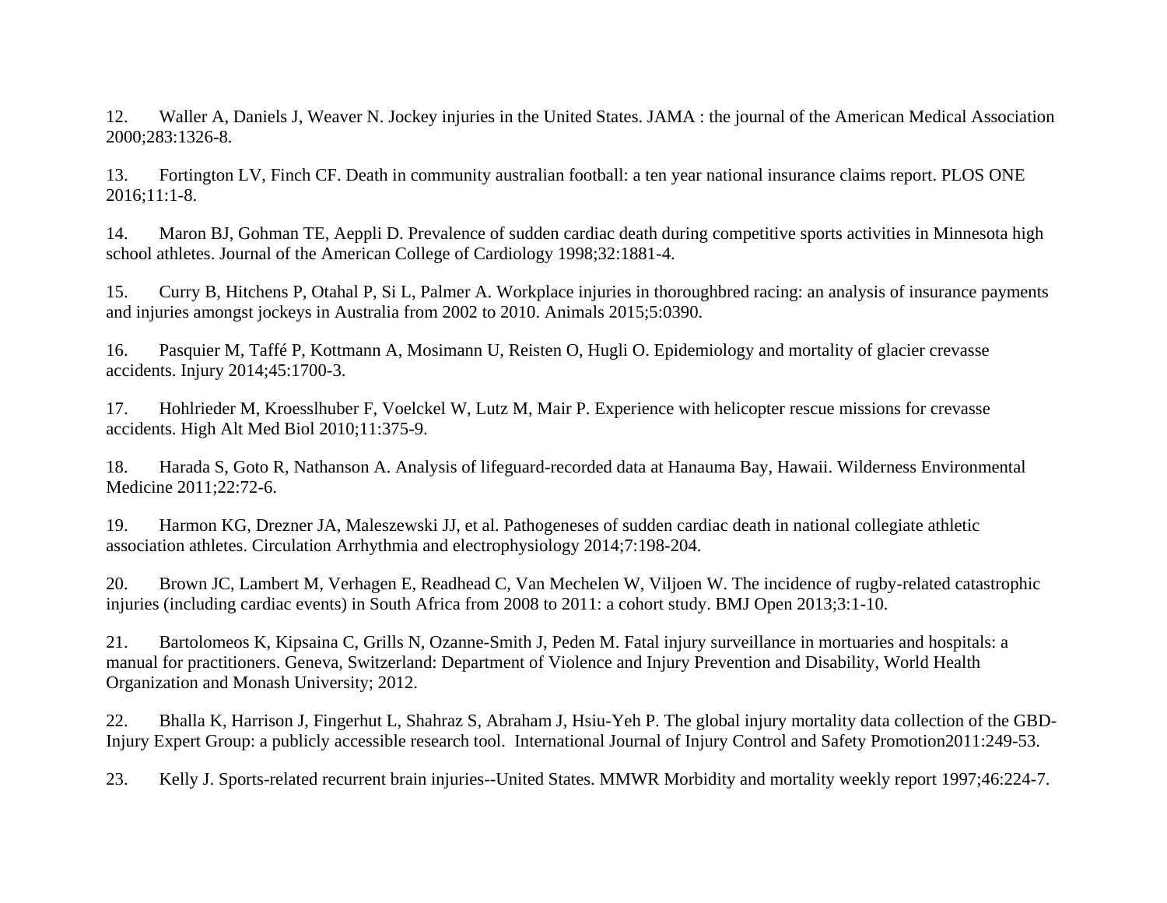<span id="page-4-0"></span>12. Waller A, Daniels J, Weaver N. Jockey injuries in the United States. JAMA : the journal of the American Medical Association 2000;283:1326-8.

<span id="page-4-1"></span>13. Fortington LV, Finch CF. Death in community australian football: a ten year national insurance claims report. PLOS ONE 2016;11:1-8.

<span id="page-4-2"></span>14. Maron BJ, Gohman TE, Aeppli D. Prevalence of sudden cardiac death during competitive sports activities in Minnesota high school athletes. Journal of the American College of Cardiology 1998;32:1881-4.

<span id="page-4-3"></span>15. Curry B, Hitchens P, Otahal P, Si L, Palmer A. Workplace injuries in thoroughbred racing: an analysis of insurance payments and injuries amongst jockeys in Australia from 2002 to 2010. Animals 2015;5:0390.

<span id="page-4-4"></span>16. Pasquier M, Taffé P, Kottmann A, Mosimann U, Reisten O, Hugli O. Epidemiology and mortality of glacier crevasse accidents. Injury 2014;45:1700-3.

<span id="page-4-5"></span>17. Hohlrieder M, Kroesslhuber F, Voelckel W, Lutz M, Mair P. Experience with helicopter rescue missions for crevasse accidents. High Alt Med Biol 2010;11:375-9.

<span id="page-4-6"></span>18. Harada S, Goto R, Nathanson A. Analysis of lifeguard-recorded data at Hanauma Bay, Hawaii. Wilderness Environmental Medicine 2011;22:72-6.

<span id="page-4-7"></span>19. Harmon KG, Drezner JA, Maleszewski JJ, et al. Pathogeneses of sudden cardiac death in national collegiate athletic association athletes. Circulation Arrhythmia and electrophysiology 2014;7:198-204.

<span id="page-4-8"></span>20. Brown JC, Lambert M, Verhagen E, Readhead C, Van Mechelen W, Viljoen W. The incidence of rugby-related catastrophic injuries (including cardiac events) in South Africa from 2008 to 2011: a cohort study. BMJ Open 2013;3:1-10.

<span id="page-4-9"></span>21. Bartolomeos K, Kipsaina C, Grills N, Ozanne-Smith J, Peden M. Fatal injury surveillance in mortuaries and hospitals: a manual for practitioners. Geneva, Switzerland: Department of Violence and Injury Prevention and Disability, World Health Organization and Monash University; 2012.

<span id="page-4-10"></span>22. Bhalla K, Harrison J, Fingerhut L, Shahraz S, Abraham J, Hsiu-Yeh P. The global injury mortality data collection of the GBD-Injury Expert Group: a publicly accessible research tool. International Journal of Injury Control and Safety Promotion2011:249-53.

<span id="page-4-11"></span>23. Kelly J. Sports-related recurrent brain injuries--United States. MMWR Morbidity and mortality weekly report 1997;46:224-7.